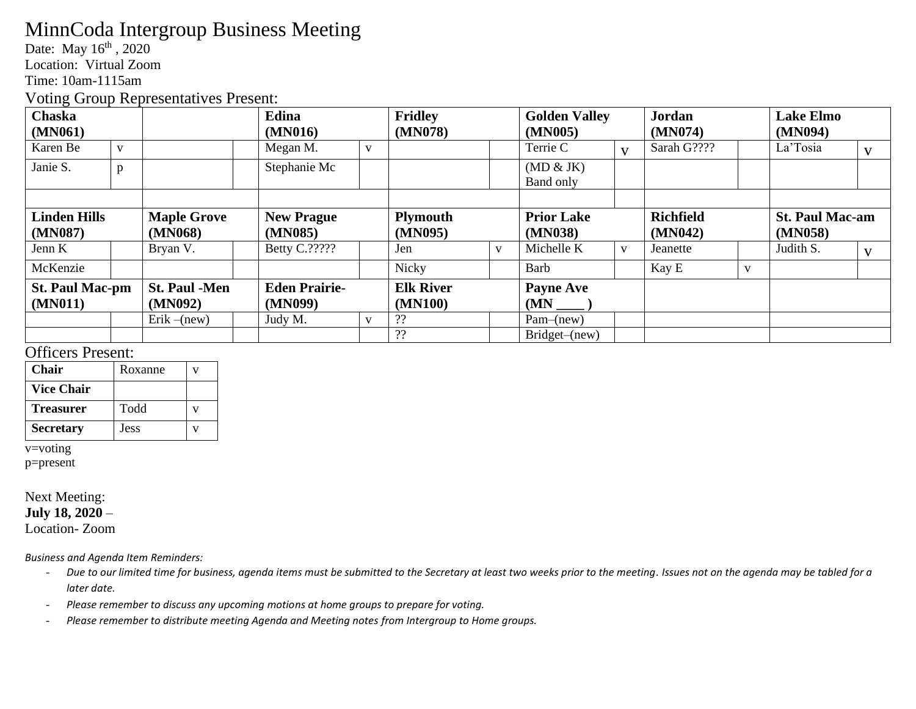# MinnCoda Intergroup Business Meeting

Date: May 16<sup>th</sup>, 2020

Location: Virtual Zoom

Time: 10am-1115am

Voting Group Representatives Present:

| <b>Chaska</b>          |              |                                              |  | Edina             |              | <b>Fridley</b>   |              | <b>Golden Valley</b> |              | <b>Jordan</b>    |              | <b>Lake Elmo</b>       |  |
|------------------------|--------------|----------------------------------------------|--|-------------------|--------------|------------------|--------------|----------------------|--------------|------------------|--------------|------------------------|--|
| (MN061)                |              |                                              |  | (MN016)           |              | (MN078)          |              | (MN005)              |              | (MN074)          |              | (MN094)                |  |
| Karen Be               | $\mathbf{V}$ |                                              |  | Megan M.          | $\mathbf{V}$ |                  |              | Terrie C             | $\mathbf{V}$ | Sarah G????      |              | La'Tosia               |  |
| Janie S.               | p            |                                              |  | Stephanie Mc      |              |                  |              | (MD & JK)            |              |                  |              |                        |  |
|                        |              |                                              |  |                   |              |                  |              | Band only            |              |                  |              |                        |  |
|                        |              |                                              |  |                   |              |                  |              |                      |              |                  |              |                        |  |
| <b>Linden Hills</b>    |              | <b>Maple Grove</b>                           |  | <b>New Prague</b> |              | <b>Plymouth</b>  |              | <b>Prior Lake</b>    |              | <b>Richfield</b> |              | <b>St. Paul Mac-am</b> |  |
| (MN087)                |              | (MN068)                                      |  | (MN085)           |              | (MN095)          |              | (MN038)              |              | (MN042)          |              | (MN058)                |  |
| Jenn K                 |              | Bryan V.                                     |  | Betty C.?????     |              | Jen              | $\mathbf{V}$ | Michelle K           | $\mathbf{V}$ | Jeanette         |              | Judith S.              |  |
| McKenzie               |              |                                              |  |                   |              | Nicky            |              | Barb                 |              | Kay E            | $\mathbf{V}$ |                        |  |
| <b>St. Paul Mac-pm</b> |              | <b>St. Paul -Men</b><br><b>Eden Prairie-</b> |  | <b>Elk River</b>  |              | <b>Payne Ave</b> |              |                      |              |                  |              |                        |  |
| (MN011)                |              | (MN092)                                      |  | (MN099)           |              | (MN100)          |              | (MN)                 |              |                  |              |                        |  |
|                        |              | $Erik - (new)$                               |  | Judy M.           | V            | ??               |              | $Pam$ –(new)         |              |                  |              |                        |  |
|                        |              |                                              |  |                   |              | ??               |              | Bridget–(new)        |              |                  |              |                        |  |

### Officers Present:

| <b>Chair</b>      | Roxanne     |  |
|-------------------|-------------|--|
| <b>Vice Chair</b> |             |  |
| <b>Treasurer</b>  | Todd        |  |
| <b>Secretary</b>  | <b>Jess</b> |  |

v=voting

p=present

#### Next Meeting: **July 18, 2020 –**

Location- Zoom

*Business and Agenda Item Reminders:*

- *Due to our limited time for business, agenda items must be submitted to the Secretary at least two weeks prior to the meeting. Issues not on the agenda may be tabled for a later date.*
- *Please remember to discuss any upcoming motions at home groups to prepare for voting.*
- *Please remember to distribute meeting Agenda and Meeting notes from Intergroup to Home groups.*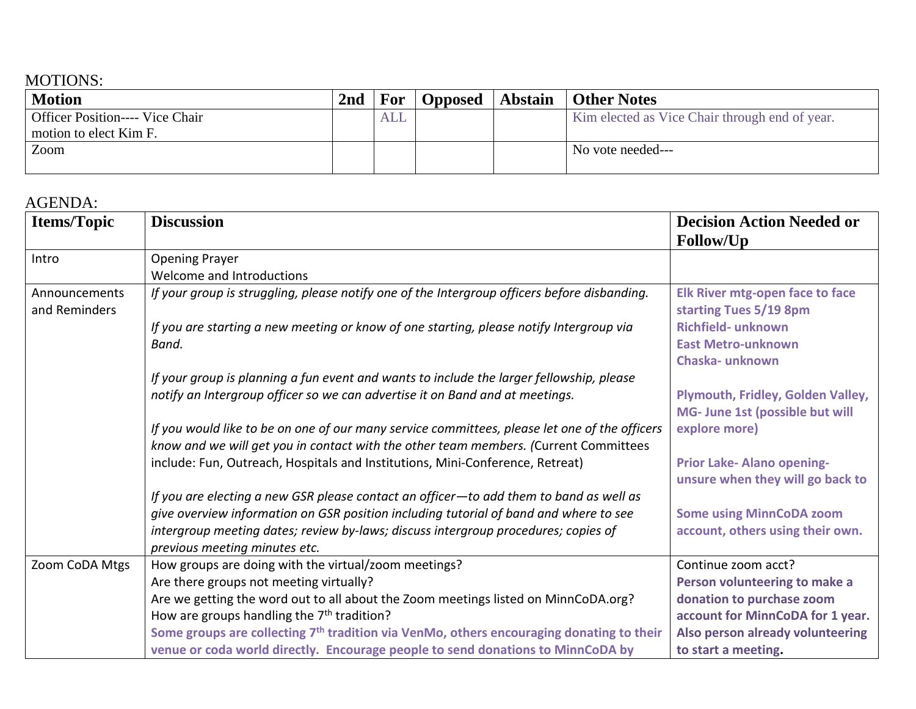### MOTIONS:

| <b>Motion</b>                          | 2 <sub>nd</sub> | For | <b>Opposed</b> | <b>Abstain   Other Notes</b>                   |
|----------------------------------------|-----------------|-----|----------------|------------------------------------------------|
| <b>Officer Position---- Vice Chair</b> |                 | ALL |                | Kim elected as Vice Chair through end of year. |
| motion to elect Kim F.                 |                 |     |                |                                                |
| Zoom                                   |                 |     |                | No vote needed---                              |
|                                        |                 |     |                |                                                |

## AGENDA:

| <b>Items/Topic</b>             | <b>Discussion</b>                                                                                    | <b>Decision Action Needed or</b><br>Follow/Up                    |
|--------------------------------|------------------------------------------------------------------------------------------------------|------------------------------------------------------------------|
| Intro                          | <b>Opening Prayer</b>                                                                                |                                                                  |
|                                | Welcome and Introductions                                                                            |                                                                  |
| Announcements<br>and Reminders | If your group is struggling, please notify one of the Intergroup officers before disbanding.         | <b>Elk River mtg-open face to face</b><br>starting Tues 5/19 8pm |
|                                | If you are starting a new meeting or know of one starting, please notify Intergroup via              | Richfield- unknown                                               |
|                                | Band.                                                                                                | <b>East Metro-unknown</b>                                        |
|                                |                                                                                                      | Chaska-unknown                                                   |
|                                | If your group is planning a fun event and wants to include the larger fellowship, please             |                                                                  |
|                                | notify an Intergroup officer so we can advertise it on Band and at meetings.                         | Plymouth, Fridley, Golden Valley,                                |
|                                |                                                                                                      | MG- June 1st (possible but will                                  |
|                                | If you would like to be on one of our many service committees, please let one of the officers        | explore more)                                                    |
|                                | know and we will get you in contact with the other team members. (Current Committees                 |                                                                  |
|                                | include: Fun, Outreach, Hospitals and Institutions, Mini-Conference, Retreat)                        | Prior Lake- Alano opening-<br>unsure when they will go back to   |
|                                | If you are electing a new GSR please contact an officer-to add them to band as well as               |                                                                  |
|                                | give overview information on GSR position including tutorial of band and where to see                | <b>Some using MinnCoDA zoom</b>                                  |
|                                | intergroup meeting dates; review by-laws; discuss intergroup procedures; copies of                   | account, others using their own.                                 |
|                                | previous meeting minutes etc.                                                                        |                                                                  |
| Zoom CoDA Mtgs                 | How groups are doing with the virtual/zoom meetings?                                                 | Continue zoom acct?                                              |
|                                | Are there groups not meeting virtually?                                                              | Person volunteering to make a                                    |
|                                | Are we getting the word out to all about the Zoom meetings listed on MinnCoDA.org?                   | donation to purchase zoom                                        |
|                                | How are groups handling the $7th$ tradition?                                                         | account for MinnCoDA for 1 year.                                 |
|                                | Some groups are collecting 7 <sup>th</sup> tradition via VenMo, others encouraging donating to their | Also person already volunteering                                 |
|                                | venue or coda world directly. Encourage people to send donations to MinnCoDA by                      | to start a meeting.                                              |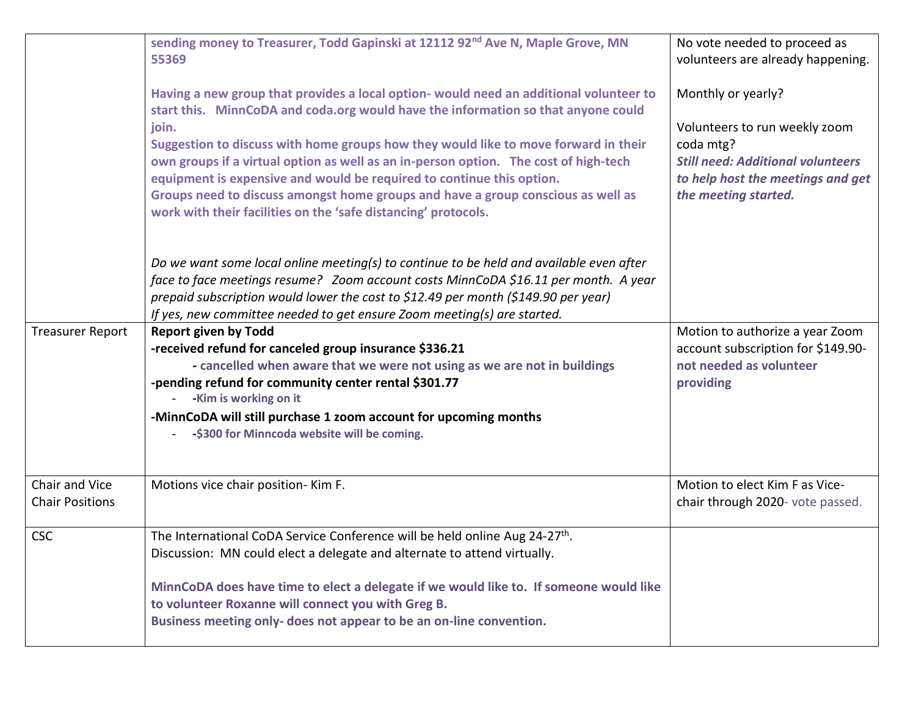|                                          | sending money to Treasurer, Todd Gapinski at 12112 92 <sup>nd</sup> Ave N, Maple Grove, MN<br>55369                                                                                                                                                                                                                                                                                                                                                                                                                                                                                                | No vote needed to proceed as<br>volunteers are already happening.                                                                                                         |
|------------------------------------------|----------------------------------------------------------------------------------------------------------------------------------------------------------------------------------------------------------------------------------------------------------------------------------------------------------------------------------------------------------------------------------------------------------------------------------------------------------------------------------------------------------------------------------------------------------------------------------------------------|---------------------------------------------------------------------------------------------------------------------------------------------------------------------------|
|                                          | Having a new group that provides a local option- would need an additional volunteer to<br>start this. MinnCoDA and coda.org would have the information so that anyone could<br>join.<br>Suggestion to discuss with home groups how they would like to move forward in their<br>own groups if a virtual option as well as an in-person option. The cost of high-tech<br>equipment is expensive and would be required to continue this option.<br>Groups need to discuss amongst home groups and have a group conscious as well as<br>work with their facilities on the 'safe distancing' protocols. | Monthly or yearly?<br>Volunteers to run weekly zoom<br>coda mtg?<br><b>Still need: Additional volunteers</b><br>to help host the meetings and get<br>the meeting started. |
|                                          | Do we want some local online meeting(s) to continue to be held and available even after<br>face to face meetings resume? Zoom account costs MinnCoDA \$16.11 per month. A year<br>prepaid subscription would lower the cost to \$12.49 per month (\$149.90 per year)<br>If yes, new committee needed to get ensure Zoom meeting(s) are started.                                                                                                                                                                                                                                                    |                                                                                                                                                                           |
| <b>Treasurer Report</b>                  | <b>Report given by Todd</b><br>-received refund for canceled group insurance \$336.21<br>- cancelled when aware that we were not using as we are not in buildings<br>-pending refund for community center rental \$301.77<br>-Kim is working on it<br>-MinnCoDA will still purchase 1 zoom account for upcoming months<br>-\$300 for Minncoda website will be coming.                                                                                                                                                                                                                              | Motion to authorize a year Zoom<br>account subscription for \$149.90-<br>not needed as volunteer<br>providing                                                             |
| Chair and Vice<br><b>Chair Positions</b> | Motions vice chair position- Kim F.                                                                                                                                                                                                                                                                                                                                                                                                                                                                                                                                                                | Motion to elect Kim F as Vice-<br>chair through 2020- vote passed.                                                                                                        |
| <b>CSC</b>                               | The International CoDA Service Conference will be held online Aug 24-27 <sup>th</sup> .<br>Discussion: MN could elect a delegate and alternate to attend virtually.<br>MinnCoDA does have time to elect a delegate if we would like to. If someone would like<br>to volunteer Roxanne will connect you with Greg B.<br>Business meeting only- does not appear to be an on-line convention.                                                                                                                                                                                                         |                                                                                                                                                                           |